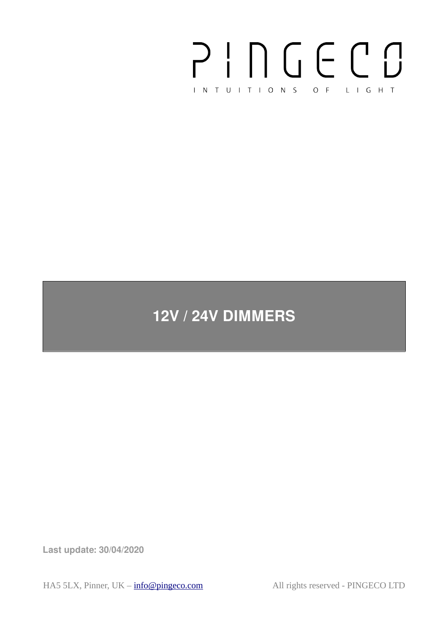# PINGECO INTUITIONS OF LIGHT

# **12V / 24V DIMMERS**

**Last update: 30/04/2020**

HA5 5LX, Pinner, UK –  $info@pingeco.com$  All rights reserved - PINGECO LTD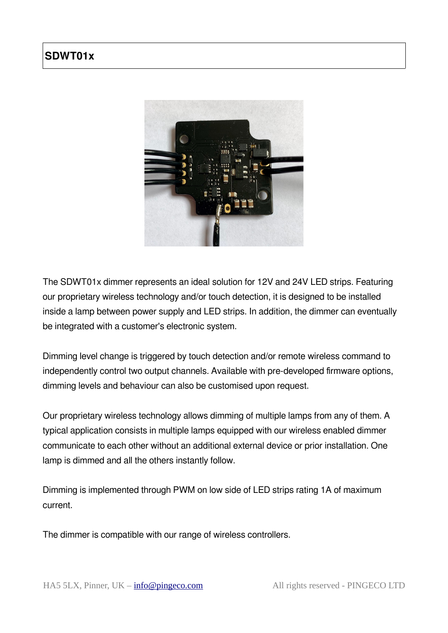# **SDWT01x**



The SDWT01x dimmer represents an ideal solution for 12V and 24V LED strips. Featuring our proprietary wireless technology and/or touch detection, it is designed to be installed inside a lamp between power supply and LED strips. In addition, the dimmer can eventually be integrated with a customer's electronic system.

Dimming level change is triggered by touch detection and/or remote wireless command to independently control two output channels. Available with pre-developed firmware options, dimming levels and behaviour can also be customised upon request.

Our proprietary wireless technology allows dimming of multiple lamps from any of them. A typical application consists in multiple lamps equipped with our wireless enabled dimmer communicate to each other without an additional external device or prior installation. One lamp is dimmed and all the others instantly follow.

Dimming is implemented through PWM on low side of LED strips rating 1A of maximum current.

The dimmer is compatible with our range of wireless controllers.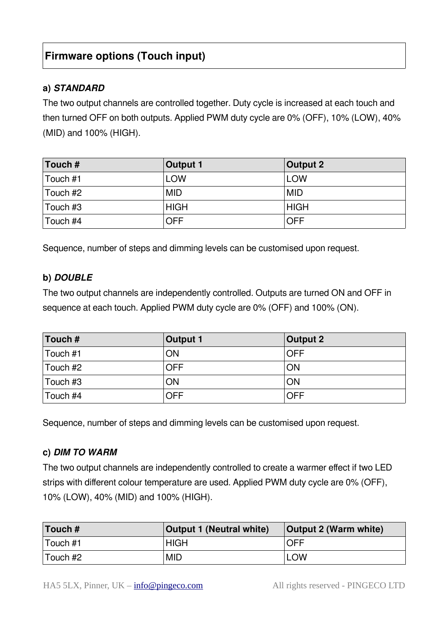# **Firmware options (Touch input)**

#### **a) STANDARD**

The two output channels are controlled together. Duty cycle is increased at each touch and then turned OFF on both outputs. Applied PWM duty cycle are 0% (OFF), 10% (LOW), 40% (MID) and 100% (HIGH).

| Touch $#$        | <b>Output 1</b> | <b>Output 2</b> |
|------------------|-----------------|-----------------|
| Touch #1         | <b>LOW</b>      | <b>LOW</b>      |
| Touch #2         | <b>MID</b>      | <b>MID</b>      |
| $\vert$ Touch #3 | <b>HIGH</b>     | <b>HIGH</b>     |
| $\vert$ Touch #4 | <b>OFF</b>      | <b>OFF</b>      |

Sequence, number of steps and dimming levels can be customised upon request.

#### **b) DOUBLE**

The two output channels are independently controlled. Outputs are turned ON and OFF in sequence at each touch. Applied PWM duty cycle are 0% (OFF) and 100% (ON).

| $\vert$ Touch #  | Output 1   | Output 2   |
|------------------|------------|------------|
| Touch #1         | ON         | <b>OFF</b> |
| $\vert$ Touch #2 | <b>OFF</b> | ON         |
| $\vert$ Touch #3 | ON         | ON         |
| Touch #4         | <b>OFF</b> | <b>OFF</b> |

Sequence, number of steps and dimming levels can be customised upon request.

#### **c) DIM TO WARM**

The two output channels are independently controlled to create a warmer effect if two LED strips with different colour temperature are used. Applied PWM duty cycle are 0% (OFF), 10% (LOW), 40% (MID) and 100% (HIGH).

| Touch $#$ | <b>Output 1 (Neutral white)</b> | Output 2 (Warm white) |
|-----------|---------------------------------|-----------------------|
| Touch #1  | <b>HIGH</b>                     | <b>OFF</b>            |
| Touch #2  | <b>MID</b>                      | <b>LOW</b>            |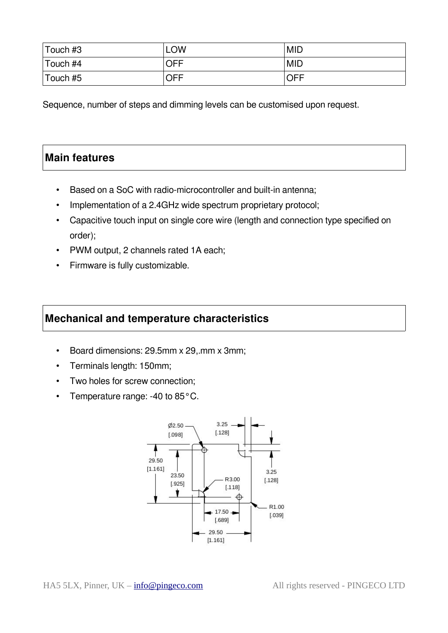| ⊺Touch #3        | <b>LOW</b> | <b>MID</b> |
|------------------|------------|------------|
| $\vert$ Touch #4 | OFF        | <b>MID</b> |
| Touch #5         | OFF        | <b>OFF</b> |

Sequence, number of steps and dimming levels can be customised upon request.

## **Main features**

- Based on a SoC with radio-microcontroller and built-in antenna;
- Implementation of a 2.4GHz wide spectrum proprietary protocol;
- Capacitive touch input on single core wire (length and connection type specified on order);
- PWM output, 2 channels rated 1A each;
- Firmware is fully customizable.

### **Mechanical and temperature characteristics**

- Board dimensions: 29.5mm x 29,.mm x 3mm;
- Terminals length: 150mm;
- Two holes for screw connection;
- Temperature range: -40 to 85°C.